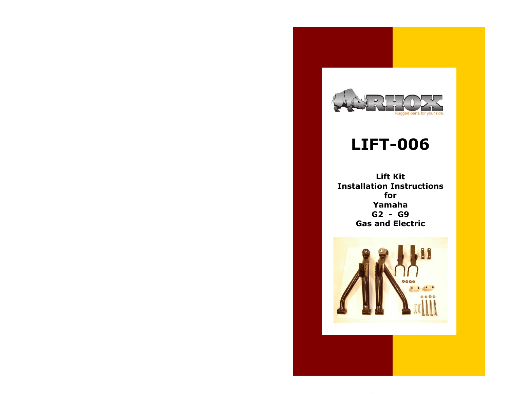

## **LIFT-006**

**Lift Kit Installation Instructions for Yamaha G2 - G9 Gas and Electric**